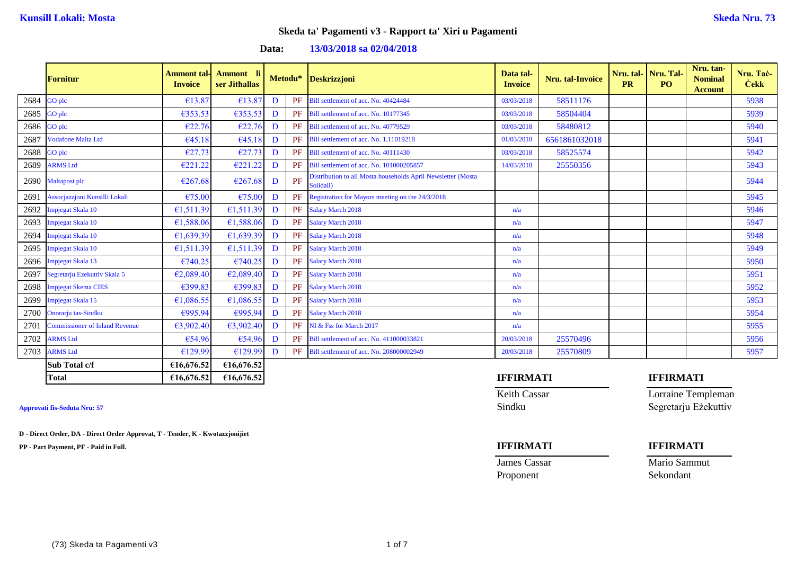**Data: 13/03/2018 sa 02/04/2018**

|      | Fornitur                              | <b>Ammont tal-</b><br><b>Invoice</b> | <b>Ammont</b><br>- li<br>ser Jithallas |   | Metodu* | <b>Deskrizzjoni</b>                                                       | Data tal-<br><b>Invoice</b> | <b>Nru.</b> tal-Invoice | Nru. tal-<br><b>PR</b> | Nru. Tal-<br><b>PO</b> | Nru. tan-<br><b>Nominal</b><br><b>Account</b> | Nru. Tač-<br><b>Cekk</b> |
|------|---------------------------------------|--------------------------------------|----------------------------------------|---|---------|---------------------------------------------------------------------------|-----------------------------|-------------------------|------------------------|------------------------|-----------------------------------------------|--------------------------|
| 2684 | GO plc                                | €13.87                               | €13.87                                 | D | PF      | Bill settlement of acc. No. 40424484                                      | 03/03/2018                  | 58511176                |                        |                        |                                               | 5938                     |
| 2685 | GO plc                                | €353.53                              | €353.53                                | D | PF      | Bill settlement of acc. No. 10177345                                      | 03/03/2018                  | 58504404                |                        |                        |                                               | 5939                     |
| 2686 | GO plc                                | €22.76                               | €22.76                                 | D | PF      | Bill settlement of acc. No. 40779529                                      | 03/03/2018                  | 58480812                |                        |                        |                                               | 5940                     |
| 2687 | <b>Vodafone Malta Ltd</b>             | €45.18                               | €45.18                                 | D | PF      | Bill settlement of acc. No. 1.11019218                                    | 01/03/2018                  | 6561861032018           |                        |                        |                                               | 5941                     |
| 2688 | GO plc                                | €27.73                               | €27.73                                 | D | PF      | Bill settlement of acc. No. 40111430                                      | 03/03/2018                  | 58525574                |                        |                        |                                               | 5942                     |
| 2689 | <b>ARMS Ltd</b>                       | €221.22                              | €221.22                                | D | PF      | Bill settlement of acc. No. 101000205857                                  | 14/03/2018                  | 25550356                |                        |                        |                                               | 5943                     |
| 2690 | Maltapost plc                         | €267.68                              | €267.68                                | D | PF      | Distribution to all Mosta households April Newsletter (Mosta<br>Solidali) |                             |                         |                        |                        |                                               | 5944                     |
| 2691 | Assocjazzjoni Kunsilli Lokali         | €75.00                               | €75.00                                 | D | PF      | Registration for Mayors meeting on the 24/3/2018                          |                             |                         |                        |                        |                                               | 5945                     |
| 2692 | Impjegat Skala 10                     | €1,511.39                            | €1,511.39                              | D | PF      | <b>Salary March 2018</b>                                                  | n/a                         |                         |                        |                        |                                               | 5946                     |
| 2693 | Impjegat Skala 10                     | €1,588.06                            | €1,588.06                              | D | PF      | <b>Salary March 2018</b>                                                  | n/a                         |                         |                        |                        |                                               | 5947                     |
| 2694 | Impjegat Skala 10                     | €1,639.39                            | €1,639.39                              | D | PF      | <b>Salary March 2018</b>                                                  | n/a                         |                         |                        |                        |                                               | 5948                     |
| 2695 | Impjegat Skala 10                     | €1,511.39                            | €1,511.39                              | D | PF      | <b>Salary March 2018</b>                                                  | n/a                         |                         |                        |                        |                                               | 5949                     |
| 2696 | Impjegat Skala 13                     | €740.25                              | €740.25                                | D | PF      | <b>Salary March 2018</b>                                                  | n/a                         |                         |                        |                        |                                               | 5950                     |
| 2697 | Segretarju Ezekuttiv Skala 5          | €2,089.40                            | €2,089.40                              | D | PF      | <b>Salary March 2018</b>                                                  | n/a                         |                         |                        |                        |                                               | 5951                     |
| 2698 | <b>Impjegat Skema CIES</b>            | €399.83                              | €399.83                                | D | PF      | <b>Salary March 2018</b>                                                  | n/a                         |                         |                        |                        |                                               | 5952                     |
| 2699 | Impjegat Skala 15                     | €1,086.55                            | €1,086.55                              | D | PF      | <b>Salary March 2018</b>                                                  | n/a                         |                         |                        |                        |                                               | 5953                     |
| 2700 | Onorarju tas-Sindku                   | €995.94                              | €995.94                                | D | PF      | <b>Salary March 2018</b>                                                  | n/a                         |                         |                        |                        |                                               | 5954                     |
| 2701 | <b>Commissioner of Inland Revenue</b> | €3,902.40                            | €3,902.40                              | D | PF      | NI & Fss for March 2017                                                   | n/a                         |                         |                        |                        |                                               | 5955                     |
| 2702 | <b>ARMS</b> Ltd                       | €54.96                               | €54.96                                 | D | PF      | Bill settlement of acc. No. 411000033821                                  | 20/03/2018                  | 25570496                |                        |                        |                                               | 5956                     |
| 2703 | <b>ARMS</b> Ltd                       | €129.99                              | €129.99                                | D | PF      | Bill settlement of acc. No. 208000002949                                  | 20/03/2018                  | 25570809                |                        |                        |                                               | 5957                     |
|      | Sub Total c/f                         | €16,676.52                           | €16,676.52                             |   |         |                                                                           |                             |                         |                        |                        |                                               |                          |
|      | <b>Total</b>                          | £16,676.52                           | €16,676.52                             |   |         |                                                                           | <b>IFFIRMATI</b>            |                         |                        | <b>IFFIRMATI</b>       |                                               |                          |

**D - Direct Order, DA - Direct Order Approvat, T - Tender, K - Kwotazzjonijiet**

**PP - Part Payment, PF - Paid in Full. IFFIRMATI IFFIRMATI**

# Keith Cassar **Lorraine Templeman Approvati fis-Seduta Nru: 57** Sindku Segretarju Eżekuttiv

Proponent Sekondant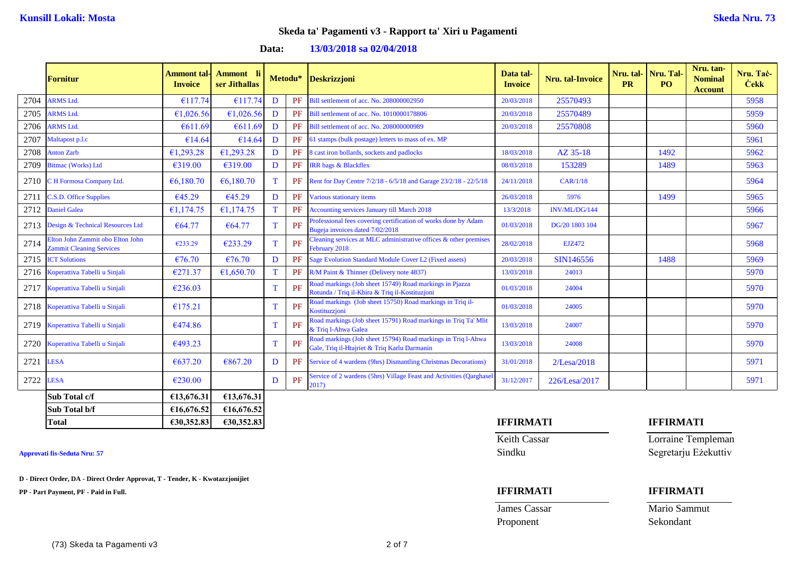**Data: 13/03/2018 sa 02/04/2018**

|      | Fornitur                                                            | Ammont tal-<br><b>Invoice</b> | Ammont li<br>ser Jithallas |   |    | Metodu* Deskrizzjoni                                                                                         | Data tal-<br><b>Invoice</b> | <b>Nru.</b> tal-Invoice | Nru. tal- Nru. Tal<br><b>PR</b> | P <sub>O</sub> | Nru. tan-<br><b>Nominal</b><br><b>Account</b> | Nru. Tač-<br><b>Cekk</b> |
|------|---------------------------------------------------------------------|-------------------------------|----------------------------|---|----|--------------------------------------------------------------------------------------------------------------|-----------------------------|-------------------------|---------------------------------|----------------|-----------------------------------------------|--------------------------|
| 2704 | <b>ARMS</b> Ltd.                                                    | €117.74                       | €117.74                    | D | PF | Bill settlement of acc. No. 208000002950                                                                     | 20/03/2018                  | 25570493                |                                 |                |                                               | 5958                     |
| 2705 | <b>ARMS</b> Ltd.                                                    | €1.026.56                     | €1,026.56                  | D | PF | Bill settlement of acc. No. 1010000178806                                                                    | 20/03/2018                  | 25570489                |                                 |                |                                               | 5959                     |
| 2706 | <b>ARMS</b> Ltd.                                                    | €611.69                       | €611.69                    | D | PF | Bill settlement of acc. No. 208000000989                                                                     | 20/03/2018                  | 25570808                |                                 |                |                                               | 5960                     |
| 2707 | Maltapost p.l.c                                                     | €14.64                        | €14.64                     | D | PF | 61 stamps (bulk postage) letters to mass of ex. MP                                                           |                             |                         |                                 |                |                                               | 5961                     |
| 2708 | <b>Anton Zarb</b>                                                   | €1,293.28                     | €1,293.28                  | D | PF | 8 cast iron bollards, sockets and padlocks                                                                   | 18/03/2018                  | AZ 35-18                |                                 | 1492           |                                               | 5962                     |
| 2709 | <b>Bitmac (Works)</b> Ltd                                           | €319.00                       | €319.00                    | D | PF | <b>IRR</b> bags & Blackflex                                                                                  | 08/03/2018                  | 153289                  |                                 | 1489           |                                               | 5963                     |
| 2710 | C H Formosa Company Ltd.                                            | € $6,180.70$                  | € $6,180.70$               | T | PF | Rent for Day Centre 7/2/18 - 6/5/18 and Garage 23/2/18 - 22/5/18                                             | 24/11/2018                  | CAR/1/18                |                                 |                |                                               | 5964                     |
| 2711 | C.S.D. Office Supplies                                              | €45.29                        | €45.29                     | D | PF | Various stationary items                                                                                     | 26/03/2018                  | 5976                    |                                 | 1499           |                                               | 5965                     |
| 2712 | <b>Daniel Galea</b>                                                 | €1,174.75                     | €1,174.75                  | T | PF | <b>Accounting services January till March 2018</b>                                                           | 13/3/2018                   | INV/ML/DG/144           |                                 |                |                                               | 5966                     |
| 2713 | Design & Technical Resources Ltd                                    | € $64.77$                     | €64.77                     | T | PF | Professional fees covering certification of works done by Adam<br>Bugeja invoices dated 7/02/2018            | 01/03/2018                  | DG/20 1803 104          |                                 |                |                                               | 5967                     |
| 2714 | Elton John Zammit obo Elton John<br><b>Zammit Cleaning Services</b> | €233.29                       | €233.29                    | T | PF | Cleaning services at MLC administrative offices $\&$ other premises<br>February 2018                         | 28/02/2018                  | <b>EJZ472</b>           |                                 |                |                                               | 5968                     |
| 2715 | <b>ICT Solutions</b>                                                | €76.70                        | €76.70                     | D | PF | Sage Evolution Standard Module Cover L2 (Fixed assets)                                                       | 20/03/2018                  | SIN146556               |                                 | 1488           |                                               | 5969                     |
| 2716 | Koperattiva Tabelli u Sinjali                                       | €271.37                       | €1,650.70                  | T | PF | R/M Paint & Thinner (Delivery note 4837)                                                                     | 13/03/2018                  | 24013                   |                                 |                |                                               | 5970                     |
| 2717 | Koperattiva Tabelli u Sinjali                                       | €236.03                       |                            | T | PF | Road markings (Job sheet 15749) Road markings in Pjazza<br>Rotunda / Triq il-Kbira & Triq il-Kostituzioni    | 01/03/2018                  | 24004                   |                                 |                |                                               | 5970                     |
| 2718 | Koperattiva Tabelli u Sinjali                                       | €175.21                       |                            | T | PF | Road markings (Job sheet 15750) Road markings in Triq il-<br>Kostituzzioni                                   | 01/03/2018                  | 24005                   |                                 |                |                                               | 5970                     |
|      | 2719 Koperattiva Tabelli u Sinjali                                  | €474.86                       |                            | T | PF | Road markings (Job sheet 15791) Road markings in Triq Ta' Mlit<br>& Triq l-Ahwa Galea                        | 13/03/2018                  | 24007                   |                                 |                |                                               | 5970                     |
| 2720 | Koperattiva Tabelli u Sinjali                                       | €493.23                       |                            | T | PF | Road markings (Job sheet 15794) Road markings in Triq l-Ahwa<br>Gale, Triq il-Htajriet & Triq Karlu Darmanin | 13/03/2018                  | 24008                   |                                 |                |                                               | 5970                     |
| 2721 | <b>LESA</b>                                                         | €637.20                       | €867.20                    | D |    | <b>PF</b> Service of 4 wardens (9hrs) Dismantling Christmas Decorations)                                     | 31/01/2018                  | $2$ /Lesa/2018          |                                 |                |                                               | 5971                     |
| 2722 | <b>LESA</b>                                                         | €230.00                       |                            | D | PF | Service of 2 wardens (5hrs) Village Feast and Activities (Qarghase<br>2017)                                  | 31/12/2017                  | 226/Lesa/2017           |                                 |                |                                               | 5971                     |
|      | Sub Total c/f                                                       | €13,676.31                    | €13,676.31                 |   |    |                                                                                                              |                             |                         |                                 |                |                                               |                          |
|      | Sub Total b/f                                                       | €16,676.52                    | €16,676.52                 |   |    |                                                                                                              |                             |                         |                                 |                |                                               |                          |

**D - Direct Order, DA - Direct Order Approvat, T - Tender, K - Kwotazzjonijiet**

**PP - Part Payment, PF - Paid in Full. IFFIRMATI IFFIRMATI**

## **Total €30,352.83 €30,352.83 IFFIRMATI IFFIRMATI**

Keith Cassar **Lorraine Templeman Approvati fis-Seduta Nru: 57** Sindku Segretarju Eżekuttiv

James Cassar Mario Sammut Proponent Sekondant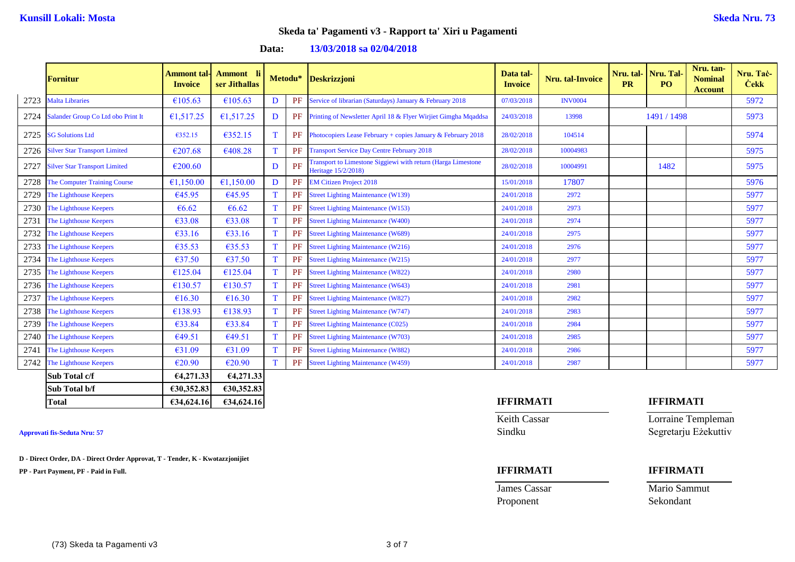**Data: 13/03/2018 sa 02/04/2018**

|      | <b>Fornitur</b>                      | <b>Ammont tal-</b><br><b>Invoice</b> | Ammont li<br>ser Jithallas |             | Metodu* | Deskrizzjoni                                                                        | Data tal-<br><b>Invoice</b> | <b>Nru.</b> tal-Invoice | <b>PR</b> | Nru. tal- Nru. Tal-<br>PO. | Nru. tan-<br><b>Nominal</b><br><b>Account</b> | Nru. Tač-<br><b>Cekk</b> |
|------|--------------------------------------|--------------------------------------|----------------------------|-------------|---------|-------------------------------------------------------------------------------------|-----------------------------|-------------------------|-----------|----------------------------|-----------------------------------------------|--------------------------|
| 2723 | <b>Malta Libraries</b>               | €105.63                              | €105.63                    | D           | PF      | Service of librarian (Saturdays) January & February 2018                            | 07/03/2018                  | <b>INV0004</b>          |           |                            |                                               | 5972                     |
| 2724 | Salander Group Co Ltd obo Print It   | €1,517.25                            | €1,517.25                  | D           | PF      | Printing of Newsletter April 18 & Flyer Wirjiet Gimgha Mqaddsa                      | 24/03/2018                  | 13998                   |           | 1491 / 1498                |                                               | 5973                     |
| 2725 | <b>SG Solutions Ltd</b>              | €352.15                              | €352.15                    | T           | PF      | Photocopiers Lease February + copies January & February 2018                        | 28/02/2018                  | 104514                  |           |                            |                                               | 5974                     |
| 2726 | <b>Silver Star Transport Limited</b> | €207.68                              | €408.28                    | $\mathbf T$ | PF      | <b>Transport Service Day Centre February 2018</b>                                   | 28/02/2018                  | 10004983                |           |                            |                                               | 5975                     |
| 2727 | <b>Silver Star Transport Limited</b> | €200.60                              |                            | D           | PF      | Transport to Limestone Siggiewi with return (Harga Limestone<br>Heritage 15/2/2018) | 28/02/2018                  | 10004991                |           | 1482                       |                                               | 5975                     |
| 2728 | <b>The Computer Training Course</b>  | €1,150.00                            | €1,150.00                  | D           | PF      | <b>EM Citizen Project 2018</b>                                                      | 15/01/2018                  | 17807                   |           |                            |                                               | 5976                     |
| 2729 | The Lighthouse Keepers               | €45.95                               | €45.95                     | $\mathbf T$ | PF      | <b>Street Lighting Maintenance (W139)</b>                                           | 24/01/2018                  | 2972                    |           |                            |                                               | 5977                     |
| 2730 | The Lighthouse Keepers               | €6.62                                | € $6.62$                   | T           | PF      | <b>Street Lighting Maintenance (W153)</b>                                           | 24/01/2018                  | 2973                    |           |                            |                                               | 5977                     |
| 2731 | The Lighthouse Keepers               | €33.08                               | €33.08                     | $\mathbf T$ | PF      | <b>Street Lighting Maintenance (W400)</b>                                           | 24/01/2018                  | 2974                    |           |                            |                                               | 5977                     |
| 2732 | The Lighthouse Keepers               | €33.16                               | €33.16                     | $\mathbf T$ | PF      | <b>Street Lighting Maintenance (W689)</b>                                           | 24/01/2018                  | 2975                    |           |                            |                                               | 5977                     |
| 2733 | The Lighthouse Keepers               | €35.53                               | €35.53                     | T           | PF      | <b>Street Lighting Maintenance (W216)</b>                                           | 24/01/2018                  | 2976                    |           |                            |                                               | 5977                     |
| 2734 | The Lighthouse Keepers               | €37.50                               | €37.50                     | T           | PF      | <b>Street Lighting Maintenance (W215)</b>                                           | 24/01/2018                  | 2977                    |           |                            |                                               | 5977                     |
| 2735 | The Lighthouse Keepers               | €125.04                              | €125.04                    | T           | PF      | <b>Street Lighting Maintenance (W822)</b>                                           | 24/01/2018                  | 2980                    |           |                            |                                               | 5977                     |
| 2736 | The Lighthouse Keepers               | €130.57                              | €130.57                    | $\mathbf T$ | PF      | <b>Street Lighting Maintenance (W643)</b>                                           | 24/01/2018                  | 2981                    |           |                            |                                               | 5977                     |
| 2737 | The Lighthouse Keepers               | €16.30                               | €16.30                     | T           | PF      | <b>Street Lighting Maintenance (W827)</b>                                           | 24/01/2018                  | 2982                    |           |                            |                                               | 5977                     |
| 2738 | The Lighthouse Keepers               | €138.93                              | €138.93                    | T           | PF      | <b>Street Lighting Maintenance (W747)</b>                                           | 24/01/2018                  | 2983                    |           |                            |                                               | 5977                     |
| 2739 | The Lighthouse Keepers               | €33.84                               | €33.84                     | T           | PF      | <b>Street Lighting Maintenance (C025)</b>                                           | 24/01/2018                  | 2984                    |           |                            |                                               | 5977                     |
| 2740 | The Lighthouse Keepers               | €49.51                               | €49.51                     | $\mathbf T$ | PF      | <b>Street Lighting Maintenance (W703)</b>                                           | 24/01/2018                  | 2985                    |           |                            |                                               | 5977                     |
| 2741 | The Lighthouse Keepers               | €31.09                               | €31.09                     | T           | PF      | <b>Street Lighting Maintenance (W882)</b>                                           | 24/01/2018                  | 2986                    |           |                            |                                               | 5977                     |
| 2742 | The Lighthouse Keepers               | €20.90                               | €20.90                     | T           | PF      | <b>Street Lighting Maintenance (W459)</b>                                           | 24/01/2018                  | 2987                    |           |                            |                                               | 5977                     |
|      | Sub Total c/f                        | 64,271.33                            | 64,271.33                  |             |         |                                                                                     |                             |                         |           |                            |                                               |                          |
|      | Sub Total b/f                        | €30,352.83                           | €30,352.83                 |             |         |                                                                                     |                             |                         |           |                            |                                               |                          |

**D - Direct Order, DA - Direct Order Approvat, T - Tender, K - Kwotazzjonijiet**

**PP - Part Payment, PF - Paid in Full. IFFIRMATI IFFIRMATI**

# **Total €34,624.16 €34,624.16 IFFIRMATI IFFIRMATI**

Keith Cassar **Lorraine Templeman Approvati fis-Seduta Nru: 57** Sindku Segretarju Eżekuttiv

**James Cassar** Mario Sammut Proponent Sekondant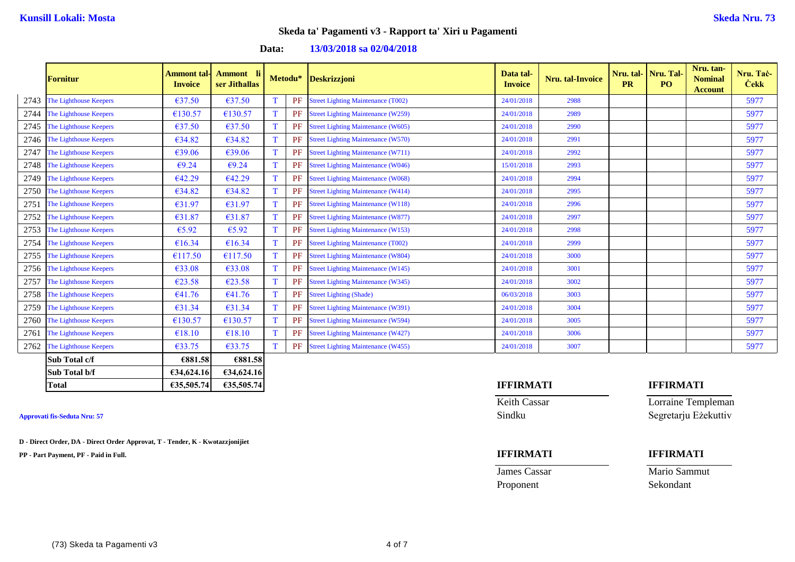### **Data: 13/03/2018 sa 02/04/2018**

|      | <b>Fornitur</b>        | <b>Ammont tal-</b><br><b>Invoice</b> | Ammont li<br>ser Jithallas |   |    | Metodu* Deskrizzjoni                      | Data tal-<br><b>Invoice</b> | <b>Nru.</b> tal-Invoice | <b>PR</b> | Nru. tal- Nru. Tal-<br>P <sub>O</sub> | Nru. tan-<br><b>Nominal</b><br><b>Account</b> | Nru. Tač-<br><b>Cekk</b> |
|------|------------------------|--------------------------------------|----------------------------|---|----|-------------------------------------------|-----------------------------|-------------------------|-----------|---------------------------------------|-----------------------------------------------|--------------------------|
| 2743 | The Lighthouse Keepers | €37.50                               | €37.50                     | T | PF | <b>Street Lighting Maintenance (T002)</b> | 24/01/2018                  | 2988                    |           |                                       |                                               | 5977                     |
| 2744 | The Lighthouse Keepers | €130.57                              | €130.57                    | T | PF | <b>Street Lighting Maintenance (W259)</b> | 24/01/2018                  | 2989                    |           |                                       |                                               | 5977                     |
| 2745 | The Lighthouse Keepers | €37.50                               | €37.50                     | T | PF | <b>Street Lighting Maintenance (W605)</b> | 24/01/2018                  | 2990                    |           |                                       |                                               | 5977                     |
| 2746 | The Lighthouse Keepers | €34.82                               | €34.82                     | T | PF | <b>Street Lighting Maintenance (W570)</b> | 24/01/2018                  | 2991                    |           |                                       |                                               | 5977                     |
| 2747 | The Lighthouse Keepers | €39.06                               | €39.06                     | T | PF | <b>Street Lighting Maintenance (W711)</b> | 24/01/2018                  | 2992                    |           |                                       |                                               | 5977                     |
| 2748 | The Lighthouse Keepers | €9.24                                | €9.24                      | T | PF | <b>Street Lighting Maintenance (W046)</b> | 15/01/2018                  | 2993                    |           |                                       |                                               | 5977                     |
| 2749 | The Lighthouse Keepers | €42.29                               | €42.29                     | T | PF | <b>Street Lighting Maintenance (W068)</b> | 24/01/2018                  | 2994                    |           |                                       |                                               | 5977                     |
| 2750 | The Lighthouse Keepers | €34.82                               | €34.82                     | T | PF | <b>Street Lighting Maintenance (W414)</b> | 24/01/2018                  | 2995                    |           |                                       |                                               | 5977                     |
| 2751 | The Lighthouse Keepers | €31.97                               | €31.97                     | T | PF | <b>Street Lighting Maintenance (W118)</b> | 24/01/2018                  | 2996                    |           |                                       |                                               | 5977                     |
| 2752 | The Lighthouse Keepers | €31.87                               | €31.87                     | T | PF | <b>Street Lighting Maintenance (W877)</b> | 24/01/2018                  | 2997                    |           |                                       |                                               | 5977                     |
| 2753 | The Lighthouse Keepers | €5.92                                | €5.92                      | T | PF | <b>Street Lighting Maintenance (W153)</b> | 24/01/2018                  | 2998                    |           |                                       |                                               | 5977                     |
| 2754 | The Lighthouse Keepers | €16.34                               | €16.34                     | T | PF | <b>Street Lighting Maintenance (T002)</b> | 24/01/2018                  | 2999                    |           |                                       |                                               | 5977                     |
| 2755 | The Lighthouse Keepers | €117.50                              | €117.50                    | T | PF | <b>Street Lighting Maintenance (W804)</b> | 24/01/2018                  | 3000                    |           |                                       |                                               | 5977                     |
| 2756 | The Lighthouse Keepers | €33.08                               | €33.08                     | T | PF | <b>Street Lighting Maintenance (W145)</b> | 24/01/2018                  | 3001                    |           |                                       |                                               | 5977                     |
| 2757 | The Lighthouse Keepers | €23.58                               | €23.58                     | T | PF | <b>Street Lighting Maintenance (W345)</b> | 24/01/2018                  | 3002                    |           |                                       |                                               | 5977                     |
| 2758 | The Lighthouse Keepers | €41.76                               | €41.76                     | T | PF | <b>Street Lighting (Shade)</b>            | 06/03/2018                  | 3003                    |           |                                       |                                               | 5977                     |
| 2759 | The Lighthouse Keepers | €31.34                               | €31.34                     | T | PF | <b>Street Lighting Maintenance (W391)</b> | 24/01/2018                  | 3004                    |           |                                       |                                               | 5977                     |
| 2760 | The Lighthouse Keepers | €130.57                              | €130.57                    | T | PF | <b>Street Lighting Maintenance (W594)</b> | 24/01/2018                  | 3005                    |           |                                       |                                               | 5977                     |
| 2761 | The Lighthouse Keepers | €18.10                               | €18.10                     | T | PF | <b>Street Lighting Maintenance (W427)</b> | 24/01/2018                  | 3006                    |           |                                       |                                               | 5977                     |
| 2762 | The Lighthouse Keepers | €33.75                               | €33.75                     | T | PF | <b>Street Lighting Maintenance (W455)</b> | 24/01/2018                  | 3007                    |           |                                       |                                               | 5977                     |
|      | Sub Total c/f          | €881.58                              | €881.58                    |   |    |                                           |                             |                         |           |                                       |                                               |                          |
|      | Sub Total b/f          | 634,624.16                           | 634,624.16                 |   |    |                                           |                             |                         |           |                                       |                                               |                          |
|      | <b>Total</b>           | €35,505.74                           | €35,505.74                 |   |    |                                           | <b>IFFIRMATI</b>            |                         |           | <b>IFFIRMATI</b>                      |                                               |                          |

**D - Direct Order, DA - Direct Order Approvat, T - Tender, K - Kwotazzjonijiet**

**PP - Part Payment, PF - Paid in Full. IFFIRMATI IFFIRMATI**

Proponent Sekondant

Keith Cassar **Lorraine Templeman Approvati fis-Seduta Nru: 57** Sindku Segretarju Eżekuttiv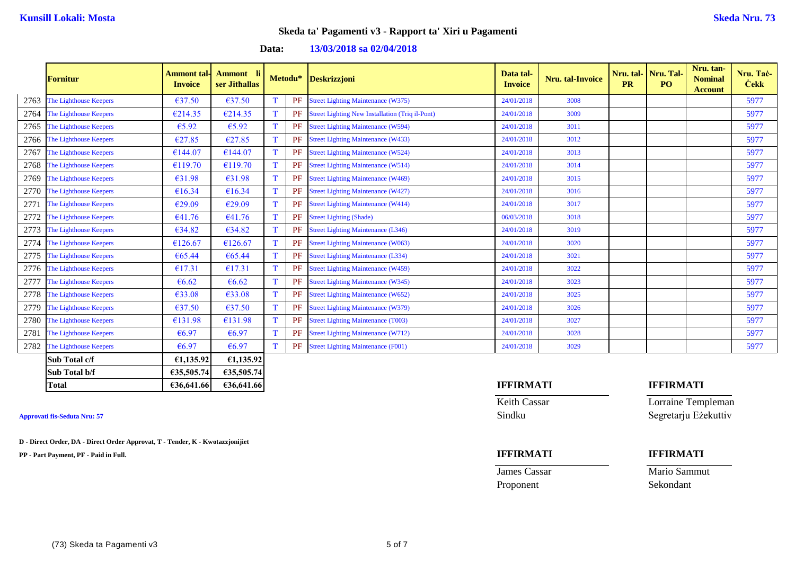### **Data: 13/03/2018 sa 02/04/2018**

|      | <b>Fornitur</b>        | <b>Ammont tal-</b><br><b>Invoice</b> | Ammont li<br>ser Jithallas |             |    | Metodu* Deskrizzjoni                                   | Data tal-<br><b>Invoice</b> | <b>Nru.</b> tal-Invoice | <b>PR</b> | Nru. tal- Nru. Tal-<br>PO <sub>1</sub> | Nru. tan-<br><b>Nominal</b><br><b>Account</b> | Nru. Taċ-<br><b>Cekk</b> |
|------|------------------------|--------------------------------------|----------------------------|-------------|----|--------------------------------------------------------|-----------------------------|-------------------------|-----------|----------------------------------------|-----------------------------------------------|--------------------------|
| 2763 | The Lighthouse Keepers | €37.50                               | €37.50                     | T           | PF | <b>Street Lighting Maintenance (W375)</b>              | 24/01/2018                  | 3008                    |           |                                        |                                               | 5977                     |
| 2764 | The Lighthouse Keepers | €214.35                              | €214.35                    | $\mathbf T$ | PF | <b>Street Lighting New Installation (Triq il-Pont)</b> | 24/01/2018                  | 3009                    |           |                                        |                                               | 5977                     |
| 2765 | The Lighthouse Keepers | €5.92                                | €5.92                      | T           | PF | <b>Street Lighting Maintenance (W594)</b>              | 24/01/2018                  | 3011                    |           |                                        |                                               | 5977                     |
| 2766 | The Lighthouse Keepers | €27.85                               | €27.85                     | T           | PF | <b>Street Lighting Maintenance (W433)</b>              | 24/01/2018                  | 3012                    |           |                                        |                                               | 5977                     |
| 2767 | The Lighthouse Keepers | €144.07                              | €144.07                    | T           | PF | <b>Street Lighting Maintenance (W524)</b>              | 24/01/2018                  | 3013                    |           |                                        |                                               | 5977                     |
| 2768 | The Lighthouse Keepers | €119.70                              | €119.70                    | $\mathbf T$ | PF | <b>Street Lighting Maintenance (W514)</b>              | 24/01/2018                  | 3014                    |           |                                        |                                               | 5977                     |
| 2769 | The Lighthouse Keepers | €31.98                               | €31.98                     | T           | PF | <b>Street Lighting Maintenance (W469)</b>              | 24/01/2018                  | 3015                    |           |                                        |                                               | 5977                     |
| 2770 | The Lighthouse Keepers | €16.34                               | €16.34                     | T           | PF | <b>Street Lighting Maintenance (W427)</b>              | 24/01/2018                  | 3016                    |           |                                        |                                               | 5977                     |
| 2771 | The Lighthouse Keepers | €29.09                               | €29.09                     | T           | PF | <b>Street Lighting Maintenance (W414)</b>              | 24/01/2018                  | 3017                    |           |                                        |                                               | 5977                     |
| 2772 | The Lighthouse Keepers | €41.76                               | €41.76                     | T           | PF | <b>Street Lighting (Shade)</b>                         | 06/03/2018                  | 3018                    |           |                                        |                                               | 5977                     |
| 2773 | The Lighthouse Keepers | €34.82                               | €34.82                     | T           | PF | <b>Street Lighting Maintenance (L346)</b>              | 24/01/2018                  | 3019                    |           |                                        |                                               | 5977                     |
| 2774 | The Lighthouse Keepers | €126.67                              | €126.67                    | T           | PF | <b>Street Lighting Maintenance (W063)</b>              | 24/01/2018                  | 3020                    |           |                                        |                                               | 5977                     |
| 2775 | The Lighthouse Keepers | €65.44                               | €65.44                     | T           | PF | <b>Street Lighting Maintenance (L334)</b>              | 24/01/2018                  | 3021                    |           |                                        |                                               | 5977                     |
| 2776 | The Lighthouse Keepers | €17.31                               | €17.31                     | $\mathbf T$ | PF | <b>Street Lighting Maintenance (W459)</b>              | 24/01/2018                  | 3022                    |           |                                        |                                               | 5977                     |
| 2777 | The Lighthouse Keepers | € $6.62$                             | €6.62                      | T           | PF | <b>Street Lighting Maintenance (W345)</b>              | 24/01/2018                  | 3023                    |           |                                        |                                               | 5977                     |
| 2778 | The Lighthouse Keepers | €33.08                               | €33.08                     | T           | PF | <b>Street Lighting Maintenance (W652)</b>              | 24/01/2018                  | 3025                    |           |                                        |                                               | 5977                     |
| 2779 | The Lighthouse Keepers | $\epsilon$ 37.50                     | €37.50                     | T           | PF | <b>Street Lighting Maintenance (W379)</b>              | 24/01/2018                  | 3026                    |           |                                        |                                               | 5977                     |
| 2780 | The Lighthouse Keepers | €131.98                              | €131.98                    | $\mathbf T$ | PF | <b>Street Lighting Maintenance (T003)</b>              | 24/01/2018                  | 3027                    |           |                                        |                                               | 5977                     |
| 2781 | The Lighthouse Keepers | €6.97                                | €6.97                      | $\mathbf T$ | PF | <b>Street Lighting Maintenance (W712)</b>              | 24/01/2018                  | 3028                    |           |                                        |                                               | 5977                     |
| 2782 | The Lighthouse Keepers | €6.97                                | €6.97                      | $\mathbf T$ | PF | <b>Street Lighting Maintenance (F001)</b>              | 24/01/2018                  | 3029                    |           |                                        |                                               | 5977                     |
|      | Sub Total c/f          | £1,135.92                            | £1,135.92                  |             |    |                                                        |                             |                         |           |                                        |                                               |                          |
|      | Sub Total b/f          | €35,505.74                           | €35,505.74                 |             |    |                                                        |                             |                         |           |                                        |                                               |                          |
|      | <b>Total</b>           | €36,641.66                           | €36,641.66                 |             |    |                                                        | <b>IFFIRMATI</b>            |                         |           | <b>IFFIRMATI</b>                       |                                               |                          |

**D - Direct Order, DA - Direct Order Approvat, T - Tender, K - Kwotazzjonijiet**

**PP - Part Payment, PF - Paid in Full. IFFIRMATI IFFIRMATI**

Proponent Sekondant

Keith Cassar Lorraine Templeman **Approvati fis-Seduta Nru: 57** Sindku Segretarju Eżekuttiv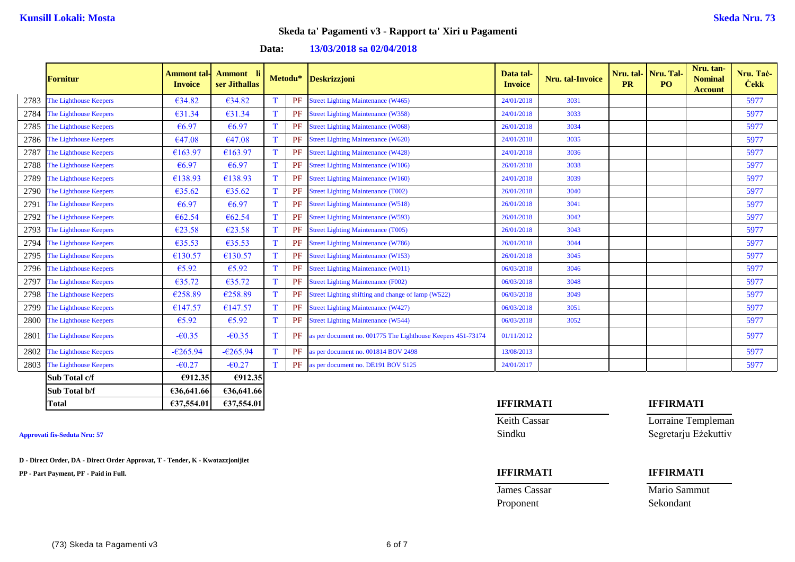### **Data: 13/03/2018 sa 02/04/2018**

|      | <b>Fornitur</b>        | <b>Ammont tal-</b><br><b>Invoice</b> | Ammont li<br>ser Jithallas |             | Metodu* | Deskrizzjoni                                                | Data tal-<br><b>Invoice</b> | Nru. tal-Invoice | <b>PR</b> | Nru. tal- Nru. Tal-<br>PO <sub>1</sub> | Nru. tan-<br><b>Nominal</b><br><b>Account</b> | Nru. Taċ-<br><b>Cekk</b> |
|------|------------------------|--------------------------------------|----------------------------|-------------|---------|-------------------------------------------------------------|-----------------------------|------------------|-----------|----------------------------------------|-----------------------------------------------|--------------------------|
| 2783 | The Lighthouse Keepers | €34.82                               | €34.82                     | T           | PF      | <b>Street Lighting Maintenance (W465)</b>                   | 24/01/2018                  | 3031             |           |                                        |                                               | 5977                     |
| 2784 | The Lighthouse Keepers | €31.34                               | €31.34                     | T           | PF      | <b>Street Lighting Maintenance (W358)</b>                   | 24/01/2018                  | 3033             |           |                                        |                                               | 5977                     |
| 2785 | The Lighthouse Keepers | €6.97                                | €6.97                      | T           | PF      | <b>Street Lighting Maintenance (W068)</b>                   | 26/01/2018                  | 3034             |           |                                        |                                               | 5977                     |
| 2786 | The Lighthouse Keepers | €47.08                               | €47.08                     | T           | PF      | <b>Street Lighting Maintenance (W620)</b>                   | 24/01/2018                  | 3035             |           |                                        |                                               | 5977                     |
| 2787 | The Lighthouse Keepers | €163.97                              | €163.97                    | T           | PF      | <b>Street Lighting Maintenance (W428)</b>                   | 24/01/2018                  | 3036             |           |                                        |                                               | 5977                     |
| 2788 | The Lighthouse Keepers | €6.97                                | €6.97                      | $\mathbf T$ | PF      | <b>Street Lighting Maintenance (W106)</b>                   | 26/01/2018                  | 3038             |           |                                        |                                               | 5977                     |
| 2789 | The Lighthouse Keepers | €138.93                              | €138.93                    | T           | PF      | <b>Street Lighting Maintenance (W160)</b>                   | 24/01/2018                  | 3039             |           |                                        |                                               | 5977                     |
| 2790 | The Lighthouse Keepers | €35.62                               | €35.62                     | T           | PF      | <b>Street Lighting Maintenance (T002)</b>                   | 26/01/2018                  | 3040             |           |                                        |                                               | 5977                     |
| 2791 | The Lighthouse Keepers | €6.97                                | €6.97                      | $\mathbf T$ | PF      | <b>Street Lighting Maintenance (W518)</b>                   | 26/01/2018                  | 3041             |           |                                        |                                               | 5977                     |
| 2792 | The Lighthouse Keepers | €62.54                               | €62.54                     | $\mathbf T$ | PF      | <b>Street Lighting Maintenance (W593)</b>                   | 26/01/2018                  | 3042             |           |                                        |                                               | 5977                     |
| 2793 | The Lighthouse Keepers | €23.58                               | €23.58                     | T           | PF      | <b>Street Lighting Maintenance (T005)</b>                   | 26/01/2018                  | 3043             |           |                                        |                                               | 5977                     |
| 2794 | The Lighthouse Keepers | €35.53                               | €35.53                     | T           | PF      | <b>Street Lighting Maintenance (W786)</b>                   | 26/01/2018                  | 3044             |           |                                        |                                               | 5977                     |
| 2795 | The Lighthouse Keepers | €130.57                              | €130.57                    | T           | PF      | <b>Street Lighting Maintenance (W153)</b>                   | 26/01/2018                  | 3045             |           |                                        |                                               | 5977                     |
| 2796 | The Lighthouse Keepers | €5.92                                | €5.92                      | T           | PF      | <b>Street Lighting Maintenance (W011)</b>                   | 06/03/2018                  | 3046             |           |                                        |                                               | 5977                     |
| 2797 | The Lighthouse Keepers | €35.72                               | €35.72                     | T           | PF      | <b>Street Lighting Maintenance (F002)</b>                   | 06/03/2018                  | 3048             |           |                                        |                                               | 5977                     |
| 2798 | The Lighthouse Keepers | €258.89                              | €258.89                    | T           | PF      | Street Lighting shifting and change of lamp (W522)          | 06/03/2018                  | 3049             |           |                                        |                                               | 5977                     |
| 2799 | The Lighthouse Keepers | €147.57                              | €147.57                    | T           | PF      | <b>Street Lighting Maintenance (W427)</b>                   | 06/03/2018                  | 3051             |           |                                        |                                               | 5977                     |
| 2800 | The Lighthouse Keepers | €5.92                                | €5.92                      | T           | PF      | <b>Street Lighting Maintenance (W544)</b>                   | 06/03/2018                  | 3052             |           |                                        |                                               | 5977                     |
| 2801 | The Lighthouse Keepers | $-60.35$                             | $-60.35$                   | T           | PF      | as per document no. 001775 The Lighthouse Keepers 451-73174 | 01/11/2012                  |                  |           |                                        |                                               | 5977                     |
| 2802 | The Lighthouse Keepers | $-6265.94$                           | $-6265.94$                 | $\mathbf T$ | PF      | as per document no. 001814 BOV 2498                         | 13/08/2013                  |                  |           |                                        |                                               | 5977                     |
| 2803 | The Lighthouse Keepers | $-60.27$                             | $-60.27$                   | $\mathbf T$ | PF      | as per document no. DE191 BOV 5125                          | 24/01/2017                  |                  |           |                                        |                                               | 5977                     |
|      | Sub Total c/f          | 6912.35                              | €912.35                    |             |         |                                                             |                             |                  |           |                                        |                                               |                          |
|      | Sub Total b/f          | €36,641.66                           | €36,641.66                 |             |         |                                                             |                             |                  |           |                                        |                                               |                          |

**D - Direct Order, DA - Direct Order Approvat, T - Tender, K - Kwotazzjonijiet**

**PP - Part Payment, PF - Paid in Full. IFFIRMATI IFFIRMATI**

## **Total €37,554.01 €37,554.01 IFFIRMATI IFFIRMATI**

Proponent Sekondant

Keith Cassar **Lorraine Templeman Approvati fis-Seduta Nru: 57** Sindku Segretarju Eżekuttiv